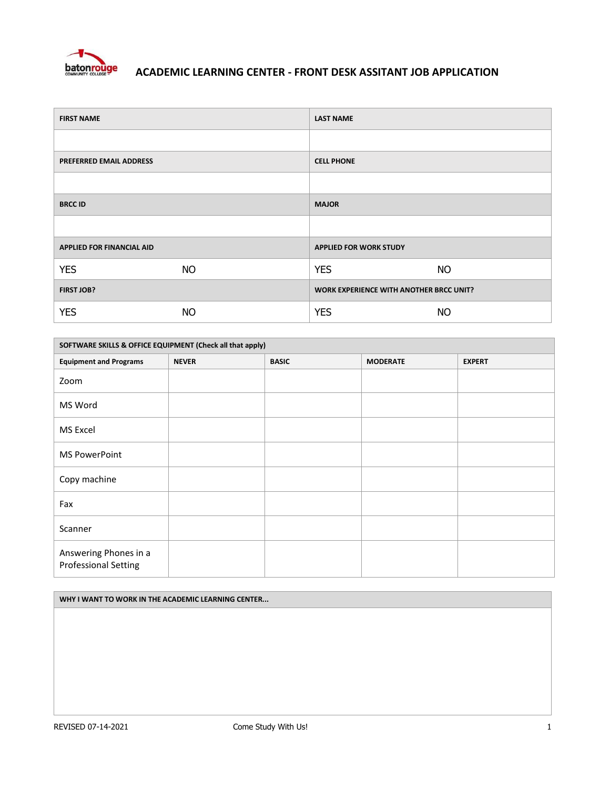

| <b>FIRST NAME</b>                |           | <b>LAST NAME</b>                               |           |
|----------------------------------|-----------|------------------------------------------------|-----------|
|                                  |           |                                                |           |
| <b>PREFERRED EMAIL ADDRESS</b>   |           | <b>CELL PHONE</b>                              |           |
|                                  |           |                                                |           |
| <b>BRCC ID</b>                   |           | <b>MAJOR</b>                                   |           |
|                                  |           |                                                |           |
| <b>APPLIED FOR FINANCIAL AID</b> |           | <b>APPLIED FOR WORK STUDY</b>                  |           |
| <b>YES</b>                       | <b>NO</b> | <b>YES</b>                                     | <b>NO</b> |
| FIRST JOB?                       |           | <b>WORK EXPERIENCE WITH ANOTHER BRCC UNIT?</b> |           |
| <b>YES</b>                       | <b>NO</b> | <b>YES</b>                                     | <b>NO</b> |

| SOFTWARE SKILLS & OFFICE EQUIPMENT (Check all that apply) |              |              |                 |               |
|-----------------------------------------------------------|--------------|--------------|-----------------|---------------|
| <b>Equipment and Programs</b>                             | <b>NEVER</b> | <b>BASIC</b> | <b>MODERATE</b> | <b>EXPERT</b> |
| Zoom                                                      |              |              |                 |               |
| MS Word                                                   |              |              |                 |               |
| MS Excel                                                  |              |              |                 |               |
| <b>MS PowerPoint</b>                                      |              |              |                 |               |
| Copy machine                                              |              |              |                 |               |
| Fax                                                       |              |              |                 |               |
| Scanner                                                   |              |              |                 |               |
| Answering Phones in a<br><b>Professional Setting</b>      |              |              |                 |               |

#### **WHY I WANT TO WORK IN THE ACADEMIC LEARNING CENTER...**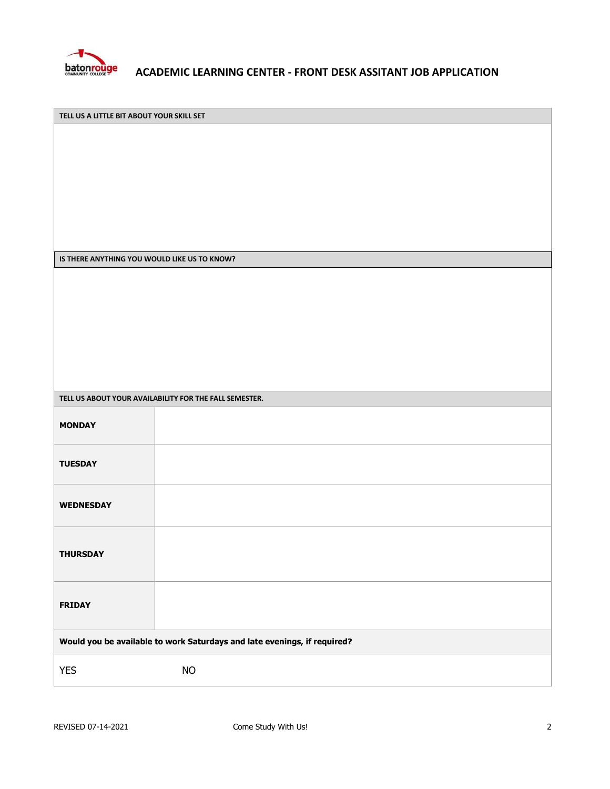

**TELL US A LITTLE BIT ABOUT YOUR SKILL SET**

**IS THERE ANYTHING YOU WOULD LIKE US TO KNOW?**

| TELL US ABOUT YOUR AVAILABILITY FOR THE FALL SEMESTER.                   |           |  |  |  |  |
|--------------------------------------------------------------------------|-----------|--|--|--|--|
| <b>MONDAY</b>                                                            |           |  |  |  |  |
| <b>TUESDAY</b>                                                           |           |  |  |  |  |
| <b>WEDNESDAY</b>                                                         |           |  |  |  |  |
| <b>THURSDAY</b>                                                          |           |  |  |  |  |
| <b>FRIDAY</b>                                                            |           |  |  |  |  |
| Would you be available to work Saturdays and late evenings, if required? |           |  |  |  |  |
| <b>YES</b>                                                               | <b>NO</b> |  |  |  |  |
|                                                                          |           |  |  |  |  |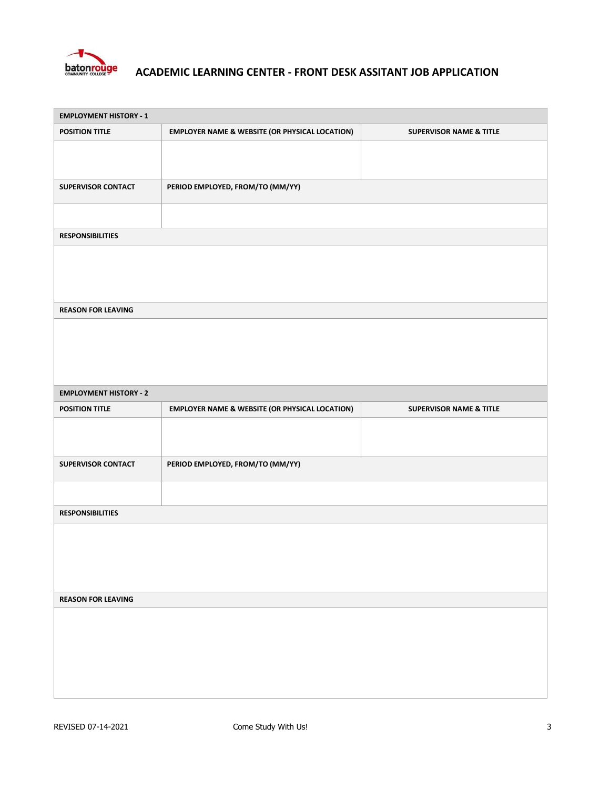

| <b>EMPLOYMENT HISTORY - 1</b> |                                                           |                                    |
|-------------------------------|-----------------------------------------------------------|------------------------------------|
| <b>POSITION TITLE</b>         | <b>EMPLOYER NAME &amp; WEBSITE (OR PHYSICAL LOCATION)</b> | <b>SUPERVISOR NAME &amp; TITLE</b> |
|                               |                                                           |                                    |
|                               |                                                           |                                    |
| <b>SUPERVISOR CONTACT</b>     | PERIOD EMPLOYED, FROM/TO (MM/YY)                          |                                    |
|                               |                                                           |                                    |
|                               |                                                           |                                    |
| <b>RESPONSIBILITIES</b>       |                                                           |                                    |
|                               |                                                           |                                    |
|                               |                                                           |                                    |
|                               |                                                           |                                    |
| <b>REASON FOR LEAVING</b>     |                                                           |                                    |
|                               |                                                           |                                    |
|                               |                                                           |                                    |
|                               |                                                           |                                    |
|                               |                                                           |                                    |
| <b>EMPLOYMENT HISTORY - 2</b> |                                                           |                                    |
| <b>POSITION TITLE</b>         | <b>EMPLOYER NAME &amp; WEBSITE (OR PHYSICAL LOCATION)</b> | <b>SUPERVISOR NAME &amp; TITLE</b> |
|                               |                                                           |                                    |
|                               |                                                           |                                    |
| <b>SUPERVISOR CONTACT</b>     | PERIOD EMPLOYED, FROM/TO (MM/YY)                          |                                    |
|                               |                                                           |                                    |
|                               |                                                           |                                    |
| <b>RESPONSIBILITIES</b>       |                                                           |                                    |
|                               |                                                           |                                    |
|                               |                                                           |                                    |
|                               |                                                           |                                    |
|                               |                                                           |                                    |
| <b>REASON FOR LEAVING</b>     |                                                           |                                    |
|                               |                                                           |                                    |
|                               |                                                           |                                    |
|                               |                                                           |                                    |
|                               |                                                           |                                    |
|                               |                                                           |                                    |